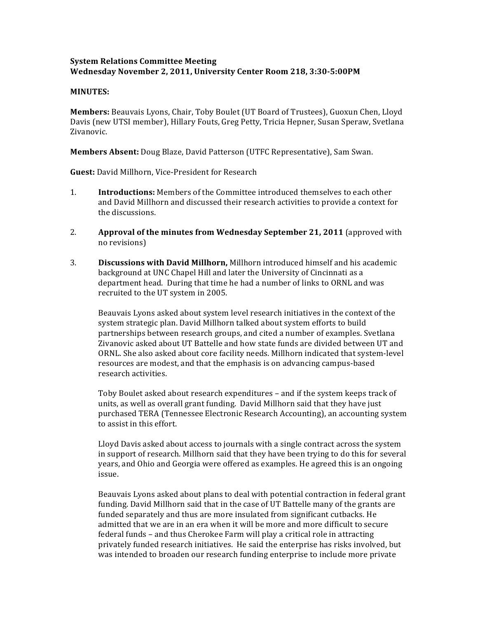## **System'Relations'Committee'Meeting Wednesday November'2,'2011,'University'Center'Room'218,'3:30?5:00PM**

## **MINUTES:**

Members: Beauvais Lyons, Chair, Toby Boulet (UT Board of Trustees), Guoxun Chen, Lloyd Davis (new UTSI member), Hillary Fouts, Greg Petty, Tricia Hepner, Susan Speraw, Svetlana Zivanovic.

**Members Absent:** Doug Blaze, David Patterson (UTFC Representative), Sam Swan.

**Guest:** David Millhorn, Vice-President for Research

- 1. **Introductions:** Members of the Committee introduced themselves to each other and David Millhorn and discussed their research activities to provide a context for the discussions.
- 2. **Approval of the minutes from Wednesday September 21, 2011** (approved with no revisions)
- 3. **Discussions with David Millhorn,** Millhorn introduced himself and his academic background at UNC Chapel Hill and later the University of Cincinnati as a department head. During that time he had a number of links to ORNL and was recruited to the UT system in 2005.

Beauvais Lyons asked about system level research initiatives in the context of the system strategic plan. David Millhorn talked about system efforts to build partnerships between research groups, and cited a number of examples. Svetlana Zivanovic asked about UT Battelle and how state funds are divided between UT and ORNL. She also asked about core facility needs. Millhorn indicated that system-level resources are modest, and that the emphasis is on advancing campus-based research activities.

Toby Boulet asked about research expenditures – and if the system keeps track of units, as well as overall grant funding. David Millhorn said that they have just purchased TERA (Tennessee Electronic Research Accounting), an accounting system to assist in this effort.

Lloyd Davis asked about access to journals with a single contract across the system in support of research. Millhorn said that they have been trying to do this for several years, and Ohio and Georgia were offered as examples. He agreed this is an ongoing issue.

Beauvais Lyons asked about plans to deal with potential contraction in federal grant funding. David Millhorn said that in the case of UT Battelle many of the grants are funded separately and thus are more insulated from significant cutbacks. He admitted that we are in an era when it will be more and more difficult to secure federal funds – and thus Cherokee Farm will play a critical role in attracting privately funded research initiatives. He said the enterprise has risks involved, but was intended to broaden our research funding enterprise to include more private